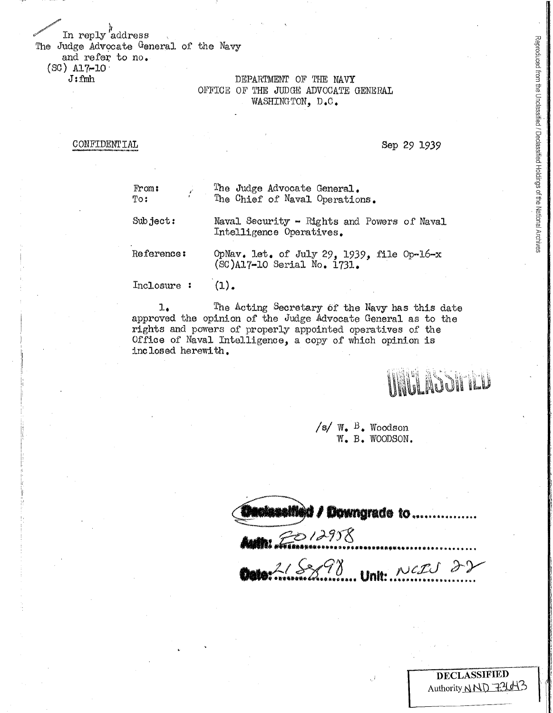In reply address The Judge Advocate General of the Navy

and refer to no.  $(SC)$  Al<sub>7</sub>-10

 $J: fmh$ 

# DEPARTMENT OF THE NAVY OFFICE OF THE JUDGE ADVOCATE GENERAL WASHINGTON, D.C.

**CONFIDENTIAL** 

## Sep 29 1939

Reproduced from the Unclassified / Declassified Holdings of the National Archives

| From:<br>T0:  | The Judge Advocate General.<br>The Chief of Naval Operations.             |
|---------------|---------------------------------------------------------------------------|
| Subject:      | Naval Security - Rights and Powers of Naval<br>Intelligence Operatives.   |
| Reference:    | OpNav. let. of July 29, 1939, file Op-16-x<br>(SC)A17-10 Serial No. 1731. |
| $\frac{1}{2}$ |                                                                           |

The Acting Secretary of the Navy has this date  $1.$ approved the opinion of the Judge Advocate General as to the rights and powers of properly appointed operatives of the Office of Naval Intelligence, a copy of which opinion is inclosed herewith.

**INNA ASSITICU** 

/s/ $W_{\bullet}$  B. Woodson W. B. WOODSON.

**Med / Downgrade to ..........** RO 12958 218898 Unit: NERS 22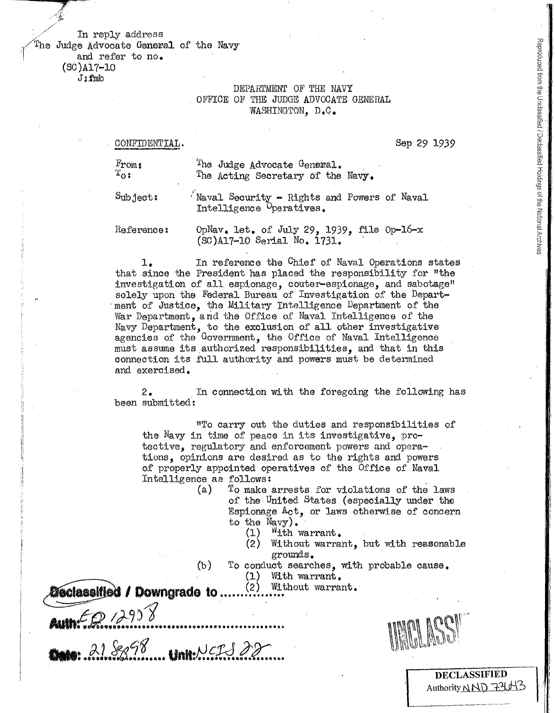## In reply address The Judge Advocate General of the Navy and refer to no.  $(SC)$ Al7-10  $J: fmb$

## DEPARTMENT OF THE NAVY OFFICE OF THE JUDGE ADVOCATE GENERAL WASHINGTON. D.C.

| NFIDENTIAL.                                                 | Sep 29 1939                                                                    |
|-------------------------------------------------------------|--------------------------------------------------------------------------------|
| $\mathbb{F}_{\text{roms}}$<br>$\mathfrak{r}_{\mathbf{O}}$ : | The Judge Advocate General.<br>The Acting Secretary of the Navy.               |
| Subject:                                                    | Naval Security - Rights and Powers of Naval<br>Intelligence Operatives.        |
| Reference:                                                  | OpNav. let. of July 29, 1939, file Op-16-x<br>$(SC)$ $A17-10$ Serial No. 1731. |

In reference the Chief of Naval Operations states 1. that since the President has placed the responsibility for "the investigation of all espionage, couter-espionage, and sabotage" solely upon the Federal Bureau of Investigation of the Department of Justice, the Military Intelligence Department of the War Department, and the Office of Naval Intelligence of the Navy Department, to the exclusion of all other investigative agencies of the Government, the Office of Naval Intelligence must assume its authorized responsibilities, and that in this connection its full authority and powers must be determined and exercised.

 $2.$ In connection with the foregoing the following has been submitted:

"To carry out the duties and responsibilities of the Navy in time of peace in its investigative, protective, regulatory and enforcement powers and operations, opinions are desired as to the rights and powers of properly appointed operatives of the Office of Naval Intelligence as follows:

- To make arrests for violations of the laws (a) of the United States (especially under the Espionage Act, or laws otherwise of concern to the  $N$ avy).
	- "ith warrant.  $(1)$
	- $(2)$ Without warrant, but with reasonable grounds.
- $(b)$ To conduct searches, with probable cause.

Without warrant.

 $(1)$ With warrant.

**Meclassified / Downgrade to..** 

Autré Leurs **Mars:** 218898 Unk NCLS 22

 $(2)$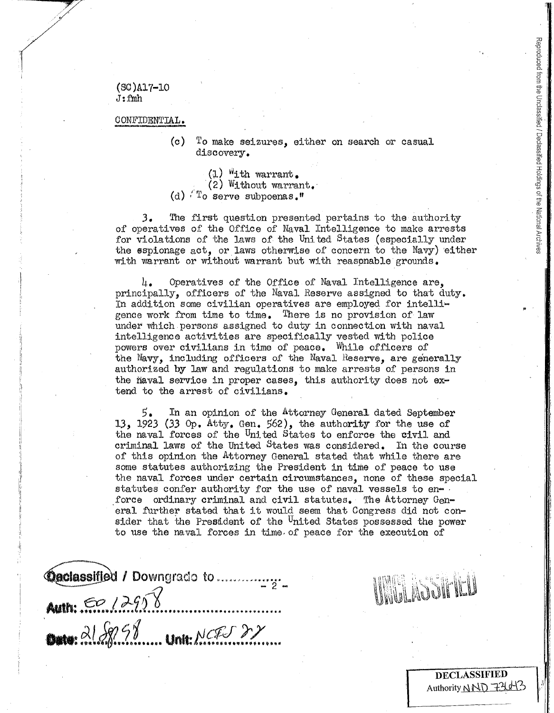$(SC)$ A17-10  $J: fwh$ 

### CONFIDENTIAL.

 $(c)$ To make seizures, either on search or casual discovery.

- $(1)$  <sup> $W$ </sup>ith warrant.
- $(2)$  Without warrant.
- (d)  $T_0$  serve subpoenas.<sup>"</sup>

 $3.$ The first question presented pertains to the authority of operatives of the Office of Naval Intelligence to make arrests for violations of the laws of the United States (especially under the sspionage act, or laws otherwise of concern to the Navy) either with warrant or without warrant but with reasonable grounds.

Operatives of the Office of Naval Intelligence are. u. principally, officers of the Naval Reserve assigned to that duty. In addition some civilian operatives are employed for intelligence work from time to time. There is no provision of law under which persons assigned to duty in connection with naval intelligence activities are specifically vested with police powers over civilians in time of peace. While officers of the Navy, including officers of the Naval Reserve, are generally authorized by law and regulations to make arrests of persons in the flaval service in proper cases, this authority does not extend to the arrest of civilians.

 $5.$ In an opinion of the Attorney General dated September 13. 1923 (33 Op. Atty. Gen. 562), the authority for the use of the naval forces of the United States to enforce the civil and criminal laws of the United States was considered. In the course of this opinion the Attorney General stated that while there are some statutes authorizing the President in time of peace to use the naval forces under certain circumstances, none of these special statutes confer authority for the use of naval vessels to enforce ordinary criminal and civil statutes. The Attorney General further stated that it would seem that Congress did not consider that the President of the <sup>U</sup>nited States possessed the power to use the naval forces in time of peace for the execution of

**Modassified / Downgrado to .................**" **Auth: 50.12958** Outo: 2188628 unit: NCES 22



**DECLASSIFIED** Authority NND 731043 Reproduced from the Unclassified / Declassified Holdings of the National Archive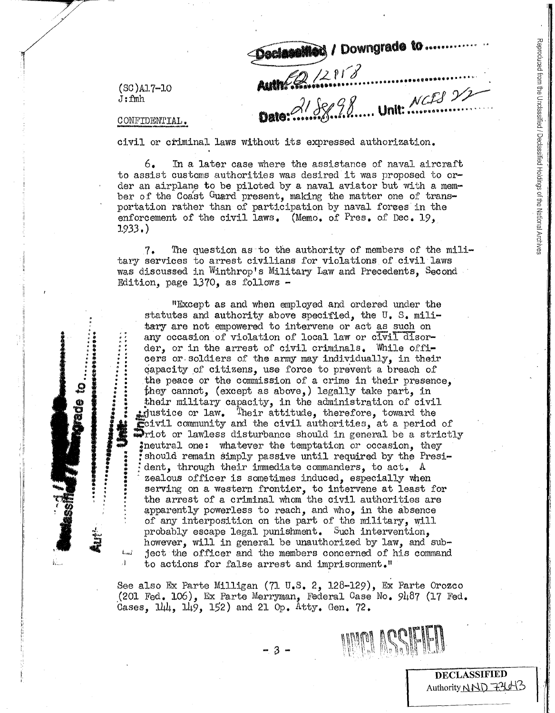$(SC)$ A1.7-10  $J: fwh$ 

Declassified / Downgrade to ...... With Barnet 8 Dato: 21 Sep 98 ..... Unit: NGES 22

CONFIDENTIAL.

 $t_{\rm conf}$ 

Л.

civil or criminal laws without its expressed authorization.

 $6.$ In a later case where the assistance of naval aircraft to assist customs authorities was desired it was proposed to order an airplane to be piloted by a naval aviator but with a member of the Coast Guard present, making the matter one of transportation rather than of participation by naval forces in the enforcement of the civil laws. (Memo. of Pres. of Dec. 19,  $1933.$ 

The question as to the authority of members of the mili- $7.$ tary services to arrest civilians for violations of civil laws was discussed in Winthrop's Military Law and Precedents, Second Edition, page  $1370$ , as follows  $-$ 

"Except as and when employed and ordered under the statutes and authority above specified, the U.S. military are not empowered to intervene or act as such on any occasion of violation of local law or civil disorder, or in the arrest of civil criminals. While officers or soldiers of the army may individually, in their capacity of citizens, use force to prevent a breach of the peace or the commission of a crime in their presence, they cannot, (except as above,) legally take part, in their military capacity, in the administration of civil instice or law. Their attitude, therefore, toward the civil community and the civil authorities, at a period of whict or lawless disturbance should in general be a strictly ineutral one: whatever the temptation or occasion, they should remain simply passive until required by the President, through their immediate commanders, to act. A zealous officer is sometimes induced, especially when serving on a western frontier, to intervene at least for the arrest of a criminal whom the civil authorities are apparently powerless to reach, and who, in the absence of any interposition on the part of the military, will probably escape legal punishment. Such intervention, however, will in general be unauthorized by law, and subject the officer and the members concerned of his command to actions for false arrest and imprisonment.<sup>1</sup>

See also Ex Parte Milligan (71 U.S. 2, 128-129), Ex Parte Orozco  $(201 \text{ Fed. } 106)$ , Ex Parte Merryman, Federal Case No. 9487 (17 Fed. Cases,  $144$ ,  $149$ ,  $152$ ) and 21 Op. Atty. Gen. 72.



**DECLASSIFIED** Authority NND 736-13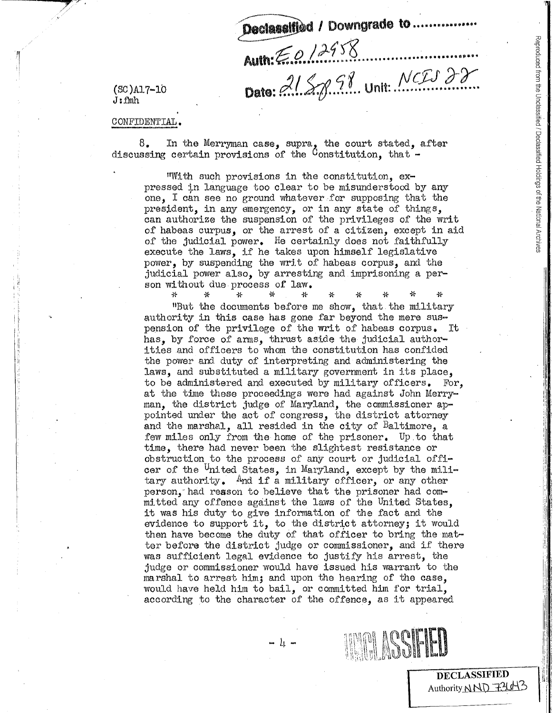Declassified / Downgrade to ..........

Auth: E.O. 12958

 $(SC)$ Al7-10  $J: fwh$ 

Dato: 2158.98 Unit: NCIS 22

#### CONFIDENTIAL.

 $8.$ In the Merryman case, supra, the court stated, after discussing certain provisions of the Constitution, that -

"With such provisions in the constitution, expressed in language too clear to be misunderstood by any one. I can see no ground whatever for supposing that the president, in any emergency, or in any state of things, can authorize the suspension of the privileges of the writ of habeas curpus, or the arrest of a citizen, except in aid of the judicial power. He certainly does not faithfully execute the laws, if he takes upon himself legislative power, by suspending the writ of habeas corpus, and the judicial power also, by arresting and imprisoning a person without due process of law.

36 꾟  $\rightarrow$ "But the documents before me show, that the military authority in this case has gone far beyond the mere suspension of the privilege of the writ of habeas corpus. It has, by force of arms, thrust aside the judicial authorities and officers to whom the constitution has confided the power and duty of interpreting and administering the laws, and substituted a military government in its place, to be administered and executed by military officers. For. at the time these proceedings were had against John Merryman, the district judge of Maryland, the commissioner appointed under the act of congress, the district attorney and the marshal, all resided in the city of Baltimore, a few miles only from the home of the prisoner. Up to that time, there had never been the slightest resistance or obstruction to the process of any court or judicial officer of the United States, in Maryland, except by the military authority. And if a military officer, or any other person, had reason to believe that the prisoner had committed any offence against the laws of the United States, it was his duty to give information of the fact and the evidence to support it, to the district attorney; it would then have become the duty of that officer to bring the matter before the district judge or commissioner, and if there was sufficient legal evidence to justify his arrest, the judge or commissioner would have issued his warrant to the marshal to arrest him; and upon the hearing of the case, would have held him to bail, or committed him for trial. according to the character of the offence, as it appeared

 $\begin{smallmatrix} \text{1} & \text{2} & \text{3} & \text{4} & \text{4} & \text{5} & \text{6} & \text{6} & \text{7} & \text{8} & \text{8} & \text{8} & \text{8} & \text{8} & \text{8} & \text{8} & \text{8} & \text{8} & \text{8} & \text{8} & \text{8} & \text{8} & \text{8} & \text{8} & \text{8} & \text{8} & \text{8} & \text{8} & \text{8} & \text{8} & \text{8} & \text{8} & \text{8} & \text{8} & \text{8} & \text{8$ 



**DECLASSIFIED** Authority NND 72643 Reproduced from the Unclassified / Declassified Holdings of the National Archives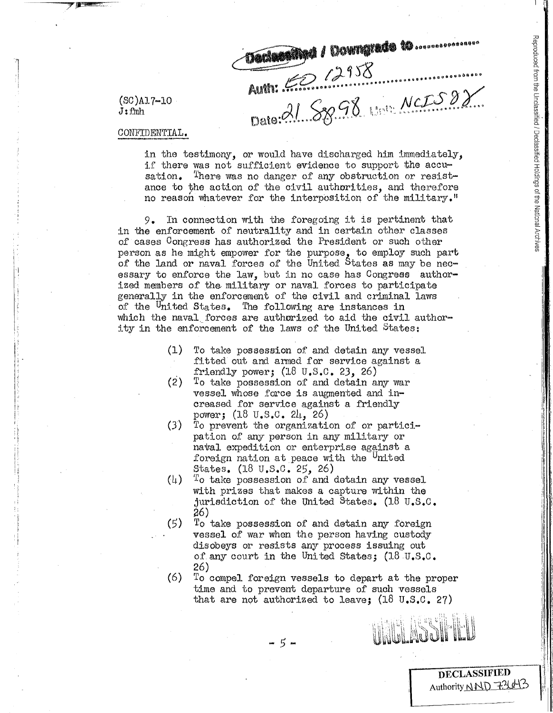**TAGARARYA / DOWNGIADA 10 ..................** Auth: <del>62</del> 12958<br>Date: 21 SB 98 100 NCIS 88

 $(SC)$ Al7-10  $J: fmh$ 

CONFIDENTIAL.

in the testimony, or would have discharged him immediately, if there was not sufficient evidence to support the accu-There was no danger of any obstruction or resistsation. ance to the action of the civil authorities, and therefore no reason whatever for the interposition of the military."

In connection with the foregoing it is pertinent that 9. in the enforcement of neutrality and in certain other classes of cases Congress has authorized the President or such other person as he might empower for the purpose, to employ such part of the land or naval forces of the United States as may be necessary to enforce the law, but in no case has Congress authorized members of the military or naval forces to participate generally in the enforcement of the civil and criminal laws of the <sup>U</sup>nited States. The following are instances in which the naval forces are authorized to aid the civil authority in the enforcement of the laws of the United States:

- $(1)$ To take possession of and detain any vessel fitted out and armed for service against a friendly power;  $(18 \t{V.S.C. } 23, 26)$
- $(2)$  To take possession of and detain any war vessel whose force is augmented and increased for service against a friendly power;  $(18 \text{ U.S. C. } 24, 26)$
- $(3)$ To prevent the organization of or participation of any person in any military or naval expedition or enterprise against a foreign nation at peace with the <sup>U</sup>nited States.  $(18 \text{ U.S.0. } 25, 26)$
- $(l_1)$ To take possession of and detain any vessel with prizes that makes a capture within the jurisdiction of the United States.  $(18 \text{ U.S. C.}$ 26)
- $(5)$ To take possession of and detain any foreign vessel of war when the person having custody disobeys or resists any process issuing out of any court in the United States; (18 U.S.C. 26)
- $(6)$ To compel foreign vessels to depart at the proper time and to prevent departure of such vessels that are not authorized to leave;  $(18 \text{ U.S.C. } 27)$

**DECLASSIFIED** Authority NND 77413

๛๛๛๛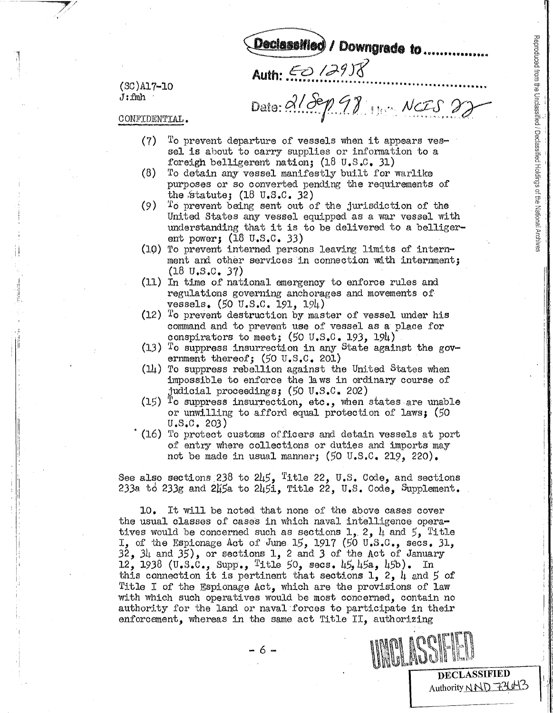Reproduced from the Unclassified / Declassified Holdings of the National Archives

**DECLASSIFIED** Authority NND 72643

(SC)A17-10  $J: fwh$ 

Dato:  $2189998$  wets 22

Declassified / Downgrade to.....

CONFIDENTIAL.

 $(7)$ To prevent departure of vessels when it appears vessel is about to carry supplies or information to a foreigh belligerent nation;  $(18 \text{ U.S.C. } 31)$ 

Auth: <del>50</del> 12958

- $(8)$ To detain any vessel manifestly built for warlike purposes or so converted pending the requirements of the statute;  $(18 \text{ U.S.C. } 32)$
- To prevent being sent out of the jurisdiction of the  $(9)$ United States any vessel equipped as a war vessel with understanding that it is to be delivered to a belligerent power;  $(18 \text{ U.S.C. } 33)$
- (10) To prevent interned persons leaving limits of internment and other services in connection with internment;  $(18 \text{ U.S.C. } 37)$
- (11) In time of national emergency to enforce rules and regulations governing anchorages and movements of vessels.  $(50 \text{ U.S.C. } 191, 194)$
- $(12)$  To prevent destruction by master of vessel under his command and to prevent use of vessel as a place for conspirators to meet; (50 U.S.C. 193, 194)
- $(13)$  To suppress insurrection in any State against the government thereof;  $(50 \text{ U.S.C. } 201)$
- $(1)$  To suppress rebellion against the United States when impossible to enforce the laws in ordinary course of judicial proceedings; (50 U.S.C. 202)
- $(15)$  To suppress insurrection, etc., when states are unable or unwilling to afford equal protection of laws: (50  $U.S.C. 203)$
- (16) To protect customs of ficers and detain vessels at port of entry where collections or duties and imports may not be made in usual manner;  $(50 \text{ U.S.C. } 219, 220)$ .

See also sections 238 to  $245$ , Title 22, U.S. Code, and sections 233a to 233g and 245a to 245i, Title 22, U.S. Code, Supplement.

It will be noted that none of the above cases cover 10. the usual classes of cases in which naval intelligence operatives would be concerned such as sections 1, 2,  $l_i$  and  $5_j$  Title I, of the Espionage Act of June 15, 1917 (50 U.S.C., secs. 31, 32, 34 and 35), or sections 1, 2 and 3 of the Act of January 12, 1938 (U.S.C., Supp., Title 50, secs. 45, 45a, 45b). In this connection it is pertinent that sections 1, 2, 4 and 5 of Title I of the Espionage Act, which are the provisions of law with which such operatives would be most concerned, contain no authority for the land or naval forces to participate in their enforcement, whereas in the same act Title II, authorizing

 $-6-$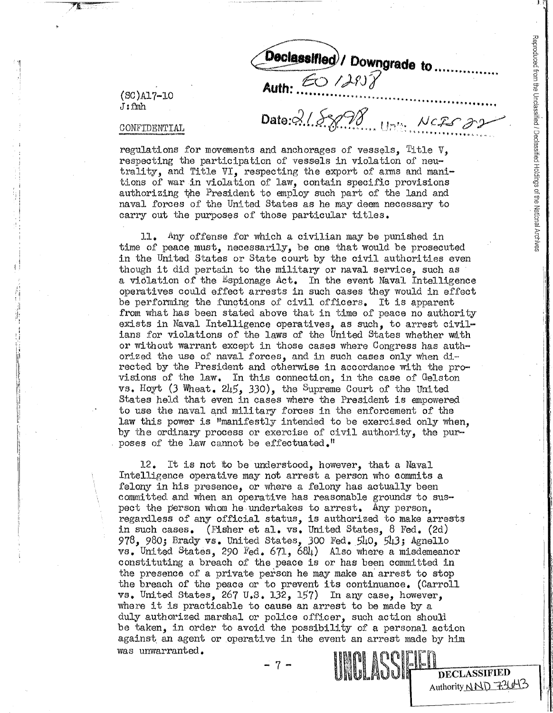**DECLASSIFIED** Authority NND 72143

 $(SC)$ Al7-10  $J: fmh$ 

**Auth:** 60/298<br>Date: 215898 University 22

Declassified / Downgrade to ......

#### CONFIDENTIAL

regulations for movements and anchorages of vessels. Title  $V$ . respecting the participation of vessels in violation of neutrality, and Title VI, respecting the export of arms and manitions of war in violation of law, contain specific provisions authorizing the President to employ such part of the land and naval forces of the United States as he may deem necessary to carry out the purposes of those particular titles.

Any offense for which a civilian may be punished in 11. time of peace must, necessarily, be one that would be prosecuted in the United States or State court by the civil authorities even though it did pertain to the military or naval service, such as a violation of the Espionage Act. In the event Naval Intelligence operatives could effect arrests in such cases they would in effect be performing the functions of civil officers. It is apparent from what has been stated above that in time of peace no authority exists in Naval Intelligence operatives, as such, to arrest civilians for violations of the laws of the United States whether with or without warrant except in those cases where Congress has authorized the use of naval forces, and in such cases only when directed by the President and otherwise in accordance with the provisions of the law. In this connection, in the case of Gelston vs. Hoyt (3 Wheat.  $2\sqrt{5}$ , 330), the Supreme Court of the United States held that even in cases where the President is empowered to use the naval and military forces in the enforcement of the law this power is "manifestly intended to be exercised only when. by the ordinary process or exercise of civil authority, the purposes of the law cannot be effectuated."

It is not to be understood, however, that a Naval 12. Intelligence operative may not arrest a person who commits a felony in his presence, or where a felony has actually been committed and when an operative has reasonable grounds to suspect the person whom he undertakes to arrest. Any person. regardless of any official status, is authorized to make arrests in such cases. (Fisher et al.  $vs.$  United States,  $8$  Fed. (2d) 978, 980; Brady vs. United States, 300 Fed. 540, 543; Agnello vs. United States, 290 Fed. 671, 684) Also where a misdemeanor constituting a breach of the peace is or has been committed in the presence of a private person he may make an arrest to stop the breach of the peace or to prevent its continuance. (Carroll vs. United States, 267 U.S. 132, 157) In any case, however, where it is practicable to cause an arrest to be made by a duly authorized marshal or police officer, such action should be taken, in order to avoid the possibility of a personal action against an agent or operative in the event an arrest made by him was unwarranted. **UNU ACCIELET**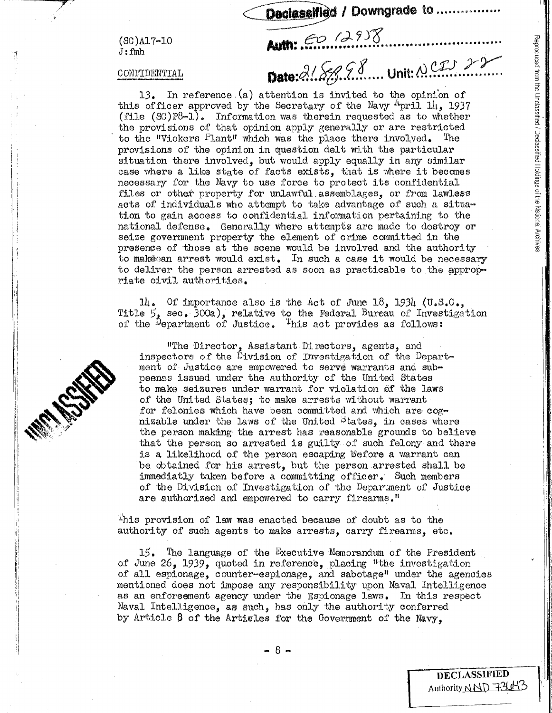$(SC)$ Al7-LO  $J$ : fmh

#### CONFIDENTIAL

13. In reference (a) attention is invited to the opinion of this officer approved by the Secretary of the Navy  $4$ pril 14, 1937  $(file (SC)P8-1)$ . Information was therein requested as to whether the provisions of that opinion apply generally or are restricted to the "Vickers  $P$ lant" which was the place there involved. The provisions of the opinion in question delt with the particular situation there involved, but would apply equally in any similar case where a like state of facts exists, that is where it becomes necessary for the Navy to use force to protect its confidential files or other property for unlawful assemblages, or from lawless acts of individuals who attempt to take advantage of such a situation to gain access to confidential information pertaining to the national defense. Generally where attempts are made to destroy or seize government property the element of crime committed in the presence of those at the scene would be involved and the authority to makeean arrest would exist. In such a case it would be necessary to deliver the person arrested as soon as practicable to the appropriate civil authorities.

Declassified / Downgrade to ......

Date: 218888 ... Unit: NCIS 22

Auth: 60 (2958

Of importance also is the Act of June 18, 1934  $(U, S, C, )$  $\mathfrak{u}$ . Title 5, sec. 300a), relative to the Federal Bureau of Investigation of the <sup>D</sup>epartment of Justice. This act provides as follows:

"The Director, Assistant Directors, agents, and inspectors of the Division of Investigation of the Department of Justice are empowered to serve warrants and subpoenas issued under the authority of the United States to make seizures under warrant for violation of the laws of the United States; to make arrests without warrant for felonies which have been committed and which are cognizable under the laws of the United <sup>States</sup>. in cases where the person making the arrest has reasonable grounds to believe that the person so arrested is guilty of such felony and there is a likelihood of the person escaping before a warrant can be obtained for his arrest, but the person arrested shall be immediatly taken before a committing officer. Such members of the Division of Investigation of the Department of Justice are authorized and empowered to carry firearms."

This provision of law was enacted because of doubt as to the authority of such agents to make arrests, carry firearms, etc.

 $15$ . The language of the Executive Memorandum of the President of June 26, 1939, quoted in reference, placing "the investigation of all espionage, counter-espionage, and sabotage" under the agencies mentioned does not impose any responsibility upon Naval Intelligence as an enforcement agency under the Espionage laws. In this respect Naval Intelligence, as such, has only the authority conferred by Article 6 of the Articles for the Government of the Navy.



**DECLASSIFIED** Authority NND 73643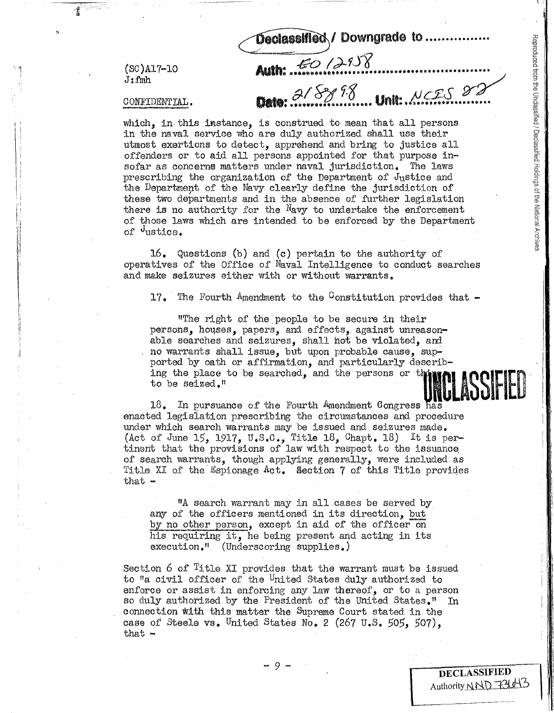$(SC)$ Al7-10  $J: fmh$ 

# CONFIDENTIAL.

2/8898 Unit. NCES 22

Declassified / Downgrade to .......

which, in this instance, is construed to mean that all persons in the naval service who are duly authorized shall use their utmost exertions to detect, apprehend and bring to justice all offenders or to aid all persons appointed for that purpose insofar as concerns matters under naval jurisdiction. The laws prescribing the organization of the Department of Justice and the Department of the Navy clearly define the jurisdiction of these two departments and in the absence of further legislation there is no authority for the  $N$ avy to undertake the enforcement of those laws which are intended to be enforced by the Department of <sup>d</sup>ustice.

Auth: 50 /2958

16. Questions (b) and (c) pertain to the authority of operatives of the Office of Naval Intelligence to conduct searches and make seizures either with or without warrants.

The Fourth Amendment to the Constitution provides that  $17.$ 

"The right of the people to be secure in their persons, houses, papers, and effects, against unreasonable searches and seizures, shall not be violated, and no warrants shall issue, but upon probable cause, supported by oath or affirmation, and particularly describing the place to be searched, and the persons or thin to be seized."

18. In pursuance of the Fourth Amendment Congress has enacted legislation prescribing the circumstances and procedure under which search warrants may be issued and seizures made. (Act of June 15, 1917, U.S.C., Title 18, Chapt. 18) It is pertinent that the provisions of law with respect to the issuance of search warrants, though applying generally, were included as Title XI of the Espionage Act. Section 7 of this Title provides  $that -$ 

"A search warrant may in all cases be served by any of the officers mentioned in its direction, but by no other person, except in aid of the officer on his requiring it, he being present and acting in its execution." (Underscoring supplies.)

Section 6 of Title XI provides that the warrant must be issued to "a civil officer of the United States duly authorized to enforce or assist in enforcing any law thereof, or to a person so duly authorized by the President of the United States." In connection with this matter the Supreme Court stated in the case of Steele vs. United States No. 2 (267 U.S. 505, 507). that  $-$ 

DECLASSIFIED Authority NND 7210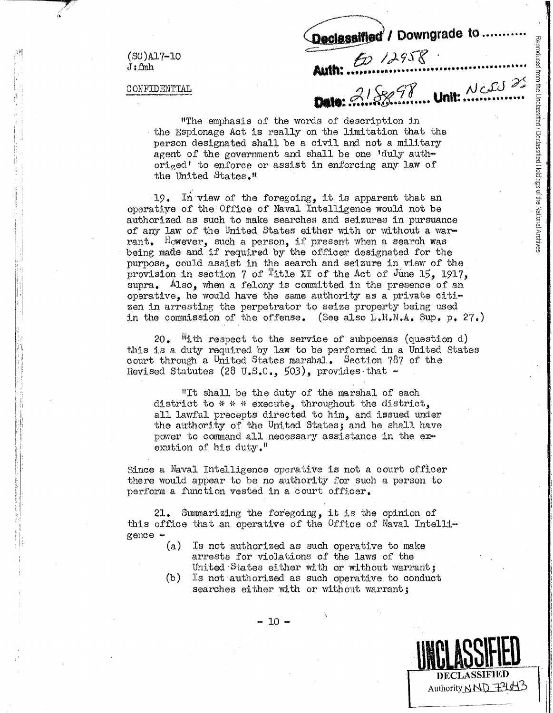Declassified / Downgrade to ...........

 $(SC)$ Al7-10  $J: fwh$ 

CONFIDENTIAL

Auth: 21888 News

Reproduced from the Unclassified / Declassified Holdings of the National Archives

Authority NND 7210-13

"The emphasis of the words of description in the Espionage Act is really on the limitation that the person designated shall be a civil and not a military agent of the government and shall be one 'duly authorized' to enforce or assist in enforcing any law of the United States."

In view of the foregoing, it is apparent that an  $-19$ . operative of the Office of Naval Intelligence would not be authorized as such to make searches and seizures in pursuance of any law of the United States either with or without a warrant. However, such a person, if present when a search was being made and if required by the officer designated for the purpose, could assist in the search and seizure in view of the provision in section 7 of <sup>T</sup>itle XI of the Act of June 15, 1917, supra. Also. when a felony is committed in the presence of an operative, he would have the same authority as a private citizen in arresting the perpetrator to seize property being used in the commission of the offense. (See also L.R.N.A. Sup. p. 27.)

20. "ith respect to the service of subpoenas (question  $d$ ) this is a duty required by law to be performed in a United States court through a United States marshal. Section 787 of the Revised Statutes (28 U.S.C., 503), provides that  $-$ 

"It shall be the duty of the marshal of each district to \* \* \* execute, throughout the district, all lawful precepts directed to him, and issued under the authority of the United States; and he shall have power to command all necessary assistance in the exexution of his duty."

Since a Naval Intelligence operative is not a court officer there would appear to be no authority for such a person to perform a function vested in a court officer.

21. Summarizing the foregoing, it is the opinion of this office that an operative of the Office of Naval Intelli $gence$   $-$ 

- (a) Is not authorized as such operative to make arrests for violations of the laws of the United States either with or without warrant:
- $(b)$ Is not authorized as such operative to conduct searches either with or without warrant;

 $-10 -$